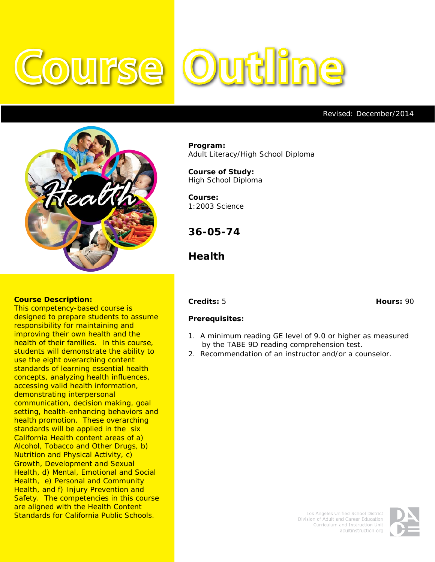# **Outline** OUITSE



#### **Course Description:**

This competency-based course is designed to prepare students to assume responsibility for maintaining and improving their own health and the health of their families. In this course, students will demonstrate the ability to use the eight overarching content standards of learning essential health concepts, analyzing health influences, accessing valid health information, demonstrating interpersonal communication, decision making, goal setting, health-enhancing behaviors and health promotion. These overarching standards will be applied in the six California Health content areas of a) Alcohol, Tobacco and Other Drugs, b) Nutrition and Physical Activity, c) Growth, Development and Sexual Health, d) Mental, Emotional and Social Health, e) Personal and Community Health, and f) Injury Prevention and Safety. The competencies in this course are aligned with the Health Content Standards for California Public Schools.

**Program:** Adult Literacy/High School Diploma

**Course of Study:** High School Diploma

**Course:** 1:2003 Science

**36-05-74**

**Health**

#### **Credits:** 5 **Hours:** 90

Revised: December/2014

#### **Prerequisites:**

- 1. A minimum reading GE level of 9.0 or higher as measured by the TABE 9D reading comprehension test.
- 2. Recommendation of an instructor and/or a counselor.

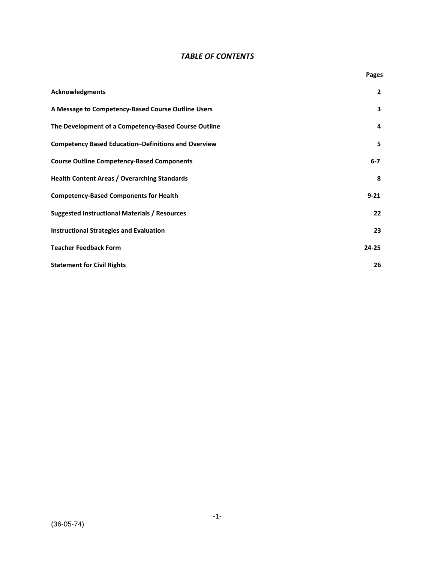## *TABLE OF CONTENTS*

|                                                            | Pages          |
|------------------------------------------------------------|----------------|
| <b>Acknowledgments</b>                                     | $\overline{2}$ |
| A Message to Competency-Based Course Outline Users         | 3              |
| The Development of a Competency-Based Course Outline       | 4              |
| <b>Competency Based Education-Definitions and Overview</b> | 5              |
| <b>Course Outline Competency-Based Components</b>          | $6 - 7$        |
| <b>Health Content Areas / Overarching Standards</b>        | 8              |
| <b>Competency-Based Components for Health</b>              | $9 - 21$       |
| <b>Suggested Instructional Materials / Resources</b>       | 22             |
| <b>Instructional Strategies and Evaluation</b>             | 23             |
| <b>Teacher Feedback Form</b>                               | $24 - 25$      |
| <b>Statement for Civil Rights</b>                          | 26             |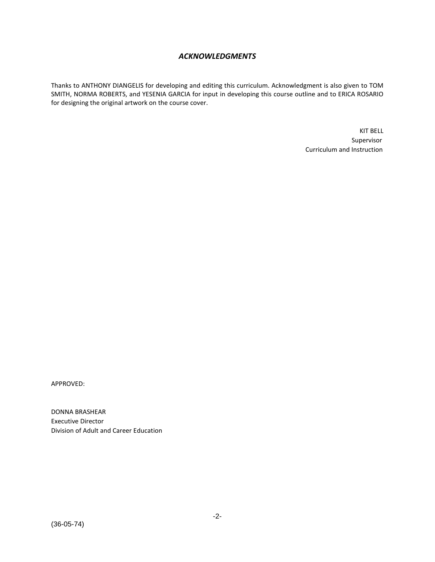## *ACKNOWLEDGMENTS*

Thanks to ANTHONY DIANGELIS for developing and editing this curriculum. Acknowledgment is also given to TOM SMITH, NORMA ROBERTS, and YESENIA GARCIA for input in developing this course outline and to ERICA ROSARIO for designing the original artwork on the course cover.

> KIT BELL Supervisor Curriculum and Instruction

APPROVED:

DONNA BRASHEAR Executive Director Division of Adult and Career Education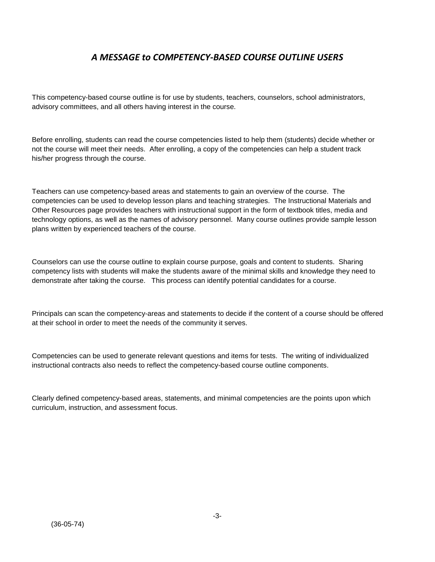## *A MESSAGE to COMPETENCY-BASED COURSE OUTLINE USERS*

This competency-based course outline is for use by students, teachers, counselors, school administrators, advisory committees, and all others having interest in the course.

Before enrolling, students can read the course competencies listed to help them (students) decide whether or not the course will meet their needs. After enrolling, a copy of the competencies can help a student track his/her progress through the course.

Teachers can use competency-based areas and statements to gain an overview of the course. The competencies can be used to develop lesson plans and teaching strategies. The Instructional Materials and Other Resources page provides teachers with instructional support in the form of textbook titles, media and technology options, as well as the names of advisory personnel. Many course outlines provide sample lesson plans written by experienced teachers of the course.

Counselors can use the course outline to explain course purpose, goals and content to students. Sharing competency lists with students will make the students aware of the minimal skills and knowledge they need to demonstrate after taking the course. This process can identify potential candidates for a course.

Principals can scan the competency-areas and statements to decide if the content of a course should be offered at their school in order to meet the needs of the community it serves.

Competencies can be used to generate relevant questions and items for tests. The writing of individualized instructional contracts also needs to reflect the competency-based course outline components.

Clearly defined competency-based areas, statements, and minimal competencies are the points upon which curriculum, instruction, and assessment focus.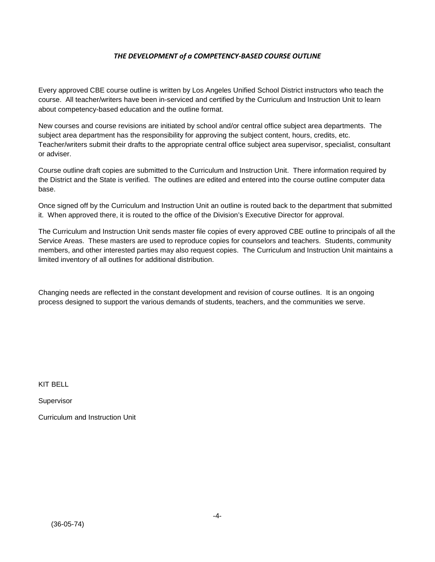### *THE DEVELOPMENT of a COMPETENCY-BASED COURSE OUTLINE*

Every approved CBE course outline is written by Los Angeles Unified School District instructors who teach the course. All teacher/writers have been in-serviced and certified by the Curriculum and Instruction Unit to learn about competency-based education and the outline format.

New courses and course revisions are initiated by school and/or central office subject area departments. The subject area department has the responsibility for approving the subject content, hours, credits, etc. Teacher/writers submit their drafts to the appropriate central office subject area supervisor, specialist, consultant or adviser.

Course outline draft copies are submitted to the Curriculum and Instruction Unit. There information required by the District and the State is verified. The outlines are edited and entered into the course outline computer data base.

Once signed off by the Curriculum and Instruction Unit an outline is routed back to the department that submitted it. When approved there, it is routed to the office of the Division's Executive Director for approval.

The Curriculum and Instruction Unit sends master file copies of every approved CBE outline to principals of all the Service Areas. These masters are used to reproduce copies for counselors and teachers. Students, community members, and other interested parties may also request copies. The Curriculum and Instruction Unit maintains a limited inventory of all outlines for additional distribution.

Changing needs are reflected in the constant development and revision of course outlines. It is an ongoing process designed to support the various demands of students, teachers, and the communities we serve.

KIT BELL

Supervisor

Curriculum and Instruction Unit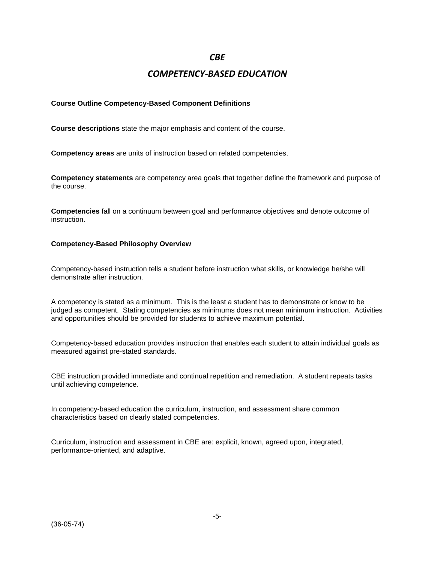## *CBE*

## *COMPETENCY-BASED EDUCATION*

### **Course Outline Competency-Based Component Definitions**

**Course descriptions** state the major emphasis and content of the course.

**Competency areas** are units of instruction based on related competencies.

**Competency statements** are competency area goals that together define the framework and purpose of the course.

**Competencies** fall on a continuum between goal and performance objectives and denote outcome of instruction.

#### **Competency-Based Philosophy Overview**

Competency-based instruction tells a student before instruction what skills, or knowledge he/she will demonstrate after instruction.

A competency is stated as a minimum. This is the least a student has to demonstrate or know to be judged as competent. Stating competencies as minimums does not mean minimum instruction. Activities and opportunities should be provided for students to achieve maximum potential.

Competency-based education provides instruction that enables each student to attain individual goals as measured against pre-stated standards.

CBE instruction provided immediate and continual repetition and remediation. A student repeats tasks until achieving competence.

In competency-based education the curriculum, instruction, and assessment share common characteristics based on clearly stated competencies.

Curriculum, instruction and assessment in CBE are: explicit, known, agreed upon, integrated, performance-oriented, and adaptive.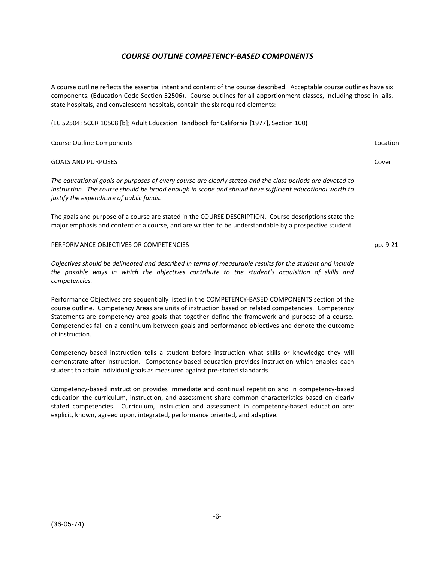## *COURSE OUTLINE COMPETENCY-BASED COMPONENTS*

A course outline reflects the essential intent and content of the course described. Acceptable course outlines have six components. (Education Code Section 52506). Course outlines for all apportionment classes, including those in jails, state hospitals, and convalescent hospitals, contain the six required elements:

(EC 52504; 5CCR 10508 [b]; Adult Education Handbook for California [1977], Section 100)

| <b>Course Outline Components</b>                                                                                                                                                                                                                                 | Location |
|------------------------------------------------------------------------------------------------------------------------------------------------------------------------------------------------------------------------------------------------------------------|----------|
| <b>GOALS AND PURPOSES</b>                                                                                                                                                                                                                                        | Cover    |
| The educational goals or purposes of every course are clearly stated and the class periods are devoted to<br>instruction. The course should be broad enough in scope and should have sufficient educational worth to<br>justify the expenditure of public funds. |          |
| The goals and purpose of a course are stated in the COURSE DESCRIPTION. Course descriptions state the<br>major emphasis and content of a course, and are written to be understandable by a prospective student.                                                  |          |

pp. 9-21

PERFORMANCE OBJECTIVES OR COMPETENCIES

*Objectives should be delineated and described in terms of measurable results for the student and include the possible ways in which the objectives contribute to the student's acquisition of skills and competencies.*

Performance Objectives are sequentially listed in the COMPETENCY-BASED COMPONENTS section of the course outline. Competency Areas are units of instruction based on related competencies. Competency Statements are competency area goals that together define the framework and purpose of a course. Competencies fall on a continuum between goals and performance objectives and denote the outcome of instruction.

Competency-based instruction tells a student before instruction what skills or knowledge they will demonstrate after instruction. Competency-based education provides instruction which enables each student to attain individual goals as measured against pre-stated standards.

Competency-based instruction provides immediate and continual repetition and In competency-based education the curriculum, instruction, and assessment share common characteristics based on clearly stated competencies. Curriculum, instruction and assessment in competency-based education are: explicit, known, agreed upon, integrated, performance oriented, and adaptive.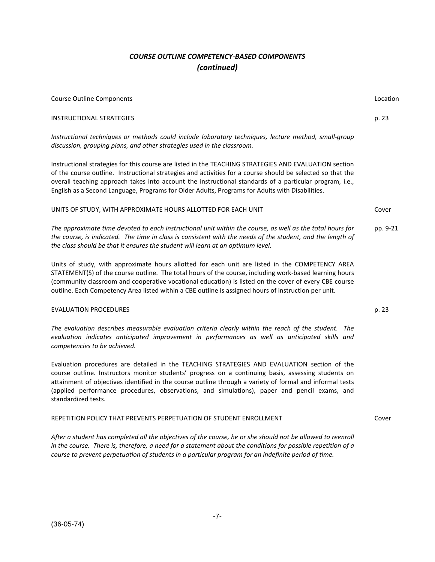## *COURSE OUTLINE COMPETENCY-BASED COMPONENTS (continued)*

| <b>Course Outline Components</b>                                                                                                                                                                                                                                                                                                                                                                                                  | Location |
|-----------------------------------------------------------------------------------------------------------------------------------------------------------------------------------------------------------------------------------------------------------------------------------------------------------------------------------------------------------------------------------------------------------------------------------|----------|
| <b>INSTRUCTIONAL STRATEGIES</b>                                                                                                                                                                                                                                                                                                                                                                                                   | p. 23    |
| Instructional techniques or methods could include laboratory techniques, lecture method, small-group<br>discussion, grouping plans, and other strategies used in the classroom.                                                                                                                                                                                                                                                   |          |
| Instructional strategies for this course are listed in the TEACHING STRATEGIES AND EVALUATION section<br>of the course outline. Instructional strategies and activities for a course should be selected so that the<br>overall teaching approach takes into account the instructional standards of a particular program, i.e.,<br>English as a Second Language, Programs for Older Adults, Programs for Adults with Disabilities. |          |
| UNITS OF STUDY, WITH APPROXIMATE HOURS ALLOTTED FOR EACH UNIT                                                                                                                                                                                                                                                                                                                                                                     | Cover    |
| The approximate time devoted to each instructional unit within the course, as well as the total hours for<br>the course, is indicated. The time in class is consistent with the needs of the student, and the length of<br>the class should be that it ensures the student will learn at an optimum level.                                                                                                                        | pp. 9-21 |
| Units of study, with approximate hours allotted for each unit are listed in the COMPETENCY AREA<br>STATEMENT(S) of the course outline. The total hours of the course, including work-based learning hours<br>(community classroom and cooperative vocational education) is listed on the cover of every CBE course<br>outline. Each Competency Area listed within a CBE outline is assigned hours of instruction per unit.        |          |
| <b>EVALUATION PROCEDURES</b>                                                                                                                                                                                                                                                                                                                                                                                                      | p. 23    |
| The evaluation describes measurable evaluation criteria clearly within the reach of the student. The<br>evaluation indicates anticipated improvement in performances as well as anticipated skills and<br>competencies to be achieved.                                                                                                                                                                                            |          |
| Evaluation procedures are detailed in the TEACHING STRATEGIES AND EVALUATION section of the<br>course outline. Instructors monitor students' progress on a continuing basis, assessing students on<br>attainment of objectives identified in the course outline through a variety of formal and informal tests<br>(applied performance procedures, observations, and simulations), paper and pencil exams, and                    |          |

#### REPETITION POLICY THAT PREVENTS PERPETUATION OF STUDENT ENROLLMENT

*After a student has completed all the objectives of the course, he or she should not be allowed to reenroll in the course. There is, therefore, a need for a statement about the conditions for possible repetition of a course to prevent perpetuation of students in a particular program for an indefinite period of time.*

standardized tests.

Cover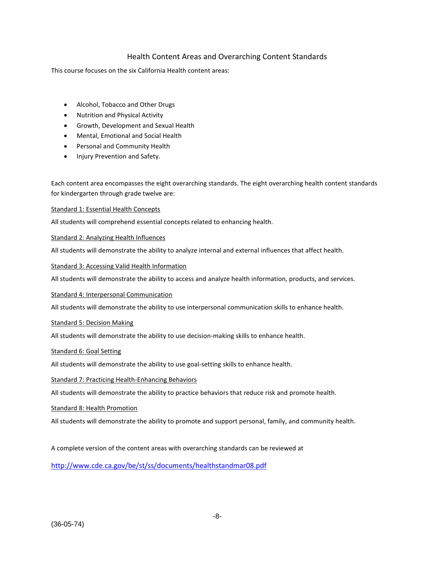## Health Content Areas and Overarching Content Standards

This course focuses on the six California Health content areas:

- Alcohol, Tobacco and Other Drugs
- Nutrition and Physical Activity
- Growth, Development and Sexual Health
- Mental, Emotional and Social Health
- Personal and Community Health
- Injury Prevention and Safety.

Each content area encompasses the eight overarching standards. The eight overarching health content standards for kindergarten through grade twelve are:

#### Standard 1: Essential Health Concepts

All students will comprehend essential concepts related to enhancing health.

#### Standard 2: Analyzing Health Influences

All students will demonstrate the ability to analyze internal and external influences that affect health.

#### Standard 3: Accessing Valid Health Information

All students will demonstrate the ability to access and analyze health information, products, and services.

#### Standard 4: Interpersonal Communication

All students will demonstrate the ability to use interpersonal communication skills to enhance health.

#### Standard 5: Decision Making

All students will demonstrate the ability to use decision-making skills to enhance health.

#### Standard 6: Goal Setting

All students will demonstrate the ability to use goal-setting skills to enhance health.

#### Standard 7: Practicing Health-Enhancing Behaviors

All students will demonstrate the ability to practice behaviors that reduce risk and promote health.

#### Standard 8: Health Promotion

All students will demonstrate the ability to promote and support personal, family, and community health.

A complete version of the content areas with overarching standards can be reviewed at

<http://www.cde.ca.gov/be/st/ss/documents/healthstandmar08.pdf>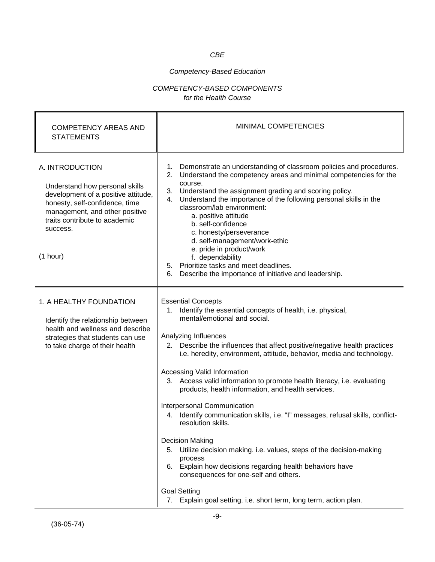## *CBE*

## *Competency-Based Education*

## *COMPETENCY-BASED COMPONENTS for the Health Course*

| <b>COMPETENCY AREAS AND</b><br><b>STATEMENTS</b>                                                                                                                                                                      | MINIMAL COMPETENCIES                                                                                                                                                                                                                                                                                                                                                                                                                                                                                                                                                                                                                                                                                                                                                                                                                                                                                                          |
|-----------------------------------------------------------------------------------------------------------------------------------------------------------------------------------------------------------------------|-------------------------------------------------------------------------------------------------------------------------------------------------------------------------------------------------------------------------------------------------------------------------------------------------------------------------------------------------------------------------------------------------------------------------------------------------------------------------------------------------------------------------------------------------------------------------------------------------------------------------------------------------------------------------------------------------------------------------------------------------------------------------------------------------------------------------------------------------------------------------------------------------------------------------------|
| A. INTRODUCTION<br>Understand how personal skills<br>development of a positive attitude,<br>honesty, self-confidence, time<br>management, and other positive<br>traits contribute to academic<br>success.<br>(1 hour) | 1. Demonstrate an understanding of classroom policies and procedures.<br>2. Understand the competency areas and minimal competencies for the<br>course.<br>3. Understand the assignment grading and scoring policy.<br>4. Understand the importance of the following personal skills in the<br>classroom/lab environment:<br>a. positive attitude<br>b. self-confidence<br>c. honesty/perseverance<br>d. self-management/work-ethic<br>e. pride in product/work<br>f. dependability<br>5. Prioritize tasks and meet deadlines.<br>Describe the importance of initiative and leadership.<br>6.                                                                                                                                                                                                                                                                                                                                 |
| 1. A HEALTHY FOUNDATION<br>Identify the relationship between<br>health and wellness and describe<br>strategies that students can use<br>to take charge of their health                                                | <b>Essential Concepts</b><br>1. Identify the essential concepts of health, i.e. physical,<br>mental/emotional and social.<br>Analyzing Influences<br>2. Describe the influences that affect positive/negative health practices<br>i.e. heredity, environment, attitude, behavior, media and technology.<br>Accessing Valid Information<br>3. Access valid information to promote health literacy, i.e. evaluating<br>products, health information, and health services.<br>Interpersonal Communication<br>4. Identify communication skills, i.e. "I" messages, refusal skills, conflict-<br>resolution skills.<br><b>Decision Making</b><br>5. Utilize decision making. i.e. values, steps of the decision-making<br>process<br>6. Explain how decisions regarding health behaviors have<br>consequences for one-self and others.<br><b>Goal Setting</b><br>7. Explain goal setting. i.e. short term, long term, action plan. |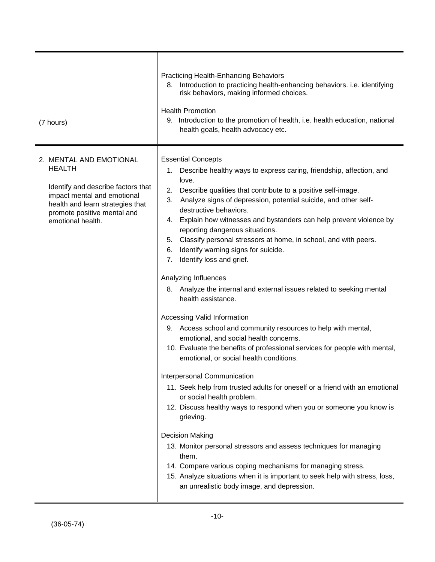| (7 hours)                                                                                                                                                                                             | <b>Practicing Health-Enhancing Behaviors</b><br>8. Introduction to practicing health-enhancing behaviors. i.e. identifying<br>risk behaviors, making informed choices.<br><b>Health Promotion</b><br>9. Introduction to the promotion of health, i.e. health education, national<br>health goals, health advocacy etc.                                                                                                                                                                                                                                                                                                                                                                                                                                                                                                                                                                                                                                                                                                                                                                                                                                                                                                                                                                                                                                                                                                                                                   |
|-------------------------------------------------------------------------------------------------------------------------------------------------------------------------------------------------------|--------------------------------------------------------------------------------------------------------------------------------------------------------------------------------------------------------------------------------------------------------------------------------------------------------------------------------------------------------------------------------------------------------------------------------------------------------------------------------------------------------------------------------------------------------------------------------------------------------------------------------------------------------------------------------------------------------------------------------------------------------------------------------------------------------------------------------------------------------------------------------------------------------------------------------------------------------------------------------------------------------------------------------------------------------------------------------------------------------------------------------------------------------------------------------------------------------------------------------------------------------------------------------------------------------------------------------------------------------------------------------------------------------------------------------------------------------------------------|
| 2. MENTAL AND EMOTIONAL<br><b>HEALTH</b><br>Identify and describe factors that<br>impact mental and emotional<br>health and learn strategies that<br>promote positive mental and<br>emotional health. | <b>Essential Concepts</b><br>1. Describe healthy ways to express caring, friendship, affection, and<br>love.<br>2. Describe qualities that contribute to a positive self-image.<br>3. Analyze signs of depression, potential suicide, and other self-<br>destructive behaviors.<br>4. Explain how witnesses and bystanders can help prevent violence by<br>reporting dangerous situations.<br>5. Classify personal stressors at home, in school, and with peers.<br>Identify warning signs for suicide.<br>6.<br>7. Identify loss and grief.<br>Analyzing Influences<br>8. Analyze the internal and external issues related to seeking mental<br>health assistance.<br>Accessing Valid Information<br>9. Access school and community resources to help with mental,<br>emotional, and social health concerns.<br>10. Evaluate the benefits of professional services for people with mental,<br>emotional, or social health conditions.<br>Interpersonal Communication<br>11. Seek help from trusted adults for oneself or a friend with an emotional<br>or social health problem.<br>12. Discuss healthy ways to respond when you or someone you know is<br>grieving.<br><b>Decision Making</b><br>13. Monitor personal stressors and assess techniques for managing<br>them.<br>14. Compare various coping mechanisms for managing stress.<br>15. Analyze situations when it is important to seek help with stress, loss,<br>an unrealistic body image, and depression. |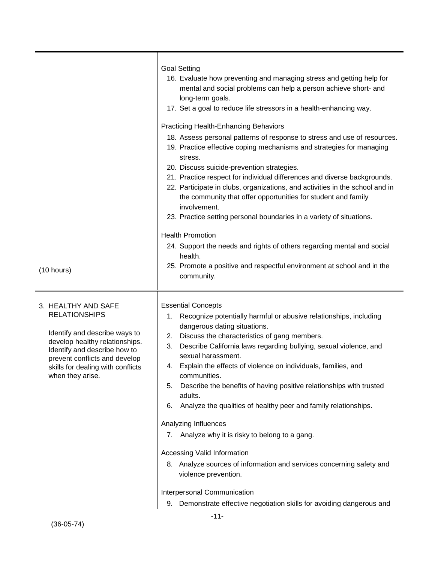| (10 hours)                                                                                                                                                                                                                               | <b>Goal Setting</b><br>16. Evaluate how preventing and managing stress and getting help for<br>mental and social problems can help a person achieve short- and<br>long-term goals.<br>17. Set a goal to reduce life stressors in a health-enhancing way.<br><b>Practicing Health-Enhancing Behaviors</b><br>18. Assess personal patterns of response to stress and use of resources.<br>19. Practice effective coping mechanisms and strategies for managing<br>stress.<br>20. Discuss suicide-prevention strategies.<br>21. Practice respect for individual differences and diverse backgrounds.<br>22. Participate in clubs, organizations, and activities in the school and in<br>the community that offer opportunities for student and family<br>involvement.<br>23. Practice setting personal boundaries in a variety of situations.<br><b>Health Promotion</b><br>24. Support the needs and rights of others regarding mental and social<br>health.<br>25. Promote a positive and respectful environment at school and in the<br>community. |
|------------------------------------------------------------------------------------------------------------------------------------------------------------------------------------------------------------------------------------------|----------------------------------------------------------------------------------------------------------------------------------------------------------------------------------------------------------------------------------------------------------------------------------------------------------------------------------------------------------------------------------------------------------------------------------------------------------------------------------------------------------------------------------------------------------------------------------------------------------------------------------------------------------------------------------------------------------------------------------------------------------------------------------------------------------------------------------------------------------------------------------------------------------------------------------------------------------------------------------------------------------------------------------------------------|
| 3. HEALTHY AND SAFE<br><b>RELATIONSHIPS</b><br>Identify and describe ways to<br>develop healthy relationships.<br>Identify and describe how to<br>prevent conflicts and develop<br>skills for dealing with conflicts<br>when they arise. | <b>Essential Concepts</b><br>Recognize potentially harmful or abusive relationships, including<br>1.<br>dangerous dating situations.<br>Discuss the characteristics of gang members.<br>2.<br>Describe California laws regarding bullying, sexual violence, and<br>3.<br>sexual harassment.<br>4. Explain the effects of violence on individuals, families, and<br>communities.<br>Describe the benefits of having positive relationships with trusted<br>5.<br>adults.<br>Analyze the qualities of healthy peer and family relationships.<br>6.<br>Analyzing Influences<br>Analyze why it is risky to belong to a gang.<br>7.<br>Accessing Valid Information<br>8. Analyze sources of information and services concerning safety and<br>violence prevention.<br>Interpersonal Communication<br>Demonstrate effective negotiation skills for avoiding dangerous and<br>9.                                                                                                                                                                          |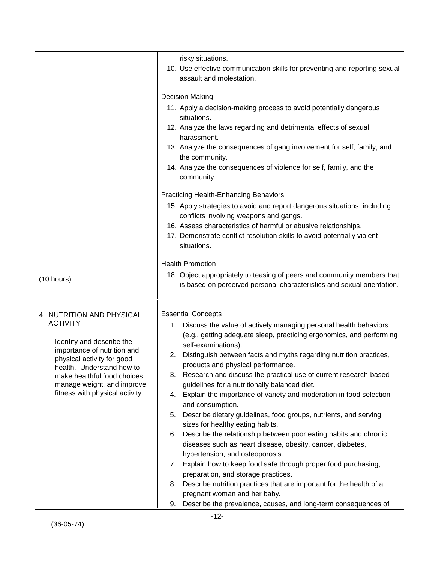|                                                                                                                                                                                                                                                                      | risky situations.<br>10. Use effective communication skills for preventing and reporting sexual<br>assault and molestation.                                                                                                                                                                                                                                                                                                                                                                                                                                                                                                                                                                                                                                                                                                                                                                                                                                                                                                                                                                                                                            |
|----------------------------------------------------------------------------------------------------------------------------------------------------------------------------------------------------------------------------------------------------------------------|--------------------------------------------------------------------------------------------------------------------------------------------------------------------------------------------------------------------------------------------------------------------------------------------------------------------------------------------------------------------------------------------------------------------------------------------------------------------------------------------------------------------------------------------------------------------------------------------------------------------------------------------------------------------------------------------------------------------------------------------------------------------------------------------------------------------------------------------------------------------------------------------------------------------------------------------------------------------------------------------------------------------------------------------------------------------------------------------------------------------------------------------------------|
|                                                                                                                                                                                                                                                                      | <b>Decision Making</b><br>11. Apply a decision-making process to avoid potentially dangerous<br>situations.<br>12. Analyze the laws regarding and detrimental effects of sexual<br>harassment.<br>13. Analyze the consequences of gang involvement for self, family, and<br>the community.<br>14. Analyze the consequences of violence for self, family, and the<br>community.<br><b>Practicing Health-Enhancing Behaviors</b><br>15. Apply strategies to avoid and report dangerous situations, including<br>conflicts involving weapons and gangs.<br>16. Assess characteristics of harmful or abusive relationships.<br>17. Demonstrate conflict resolution skills to avoid potentially violent<br>situations.                                                                                                                                                                                                                                                                                                                                                                                                                                      |
| (10 hours)                                                                                                                                                                                                                                                           | <b>Health Promotion</b><br>18. Object appropriately to teasing of peers and community members that<br>is based on perceived personal characteristics and sexual orientation.                                                                                                                                                                                                                                                                                                                                                                                                                                                                                                                                                                                                                                                                                                                                                                                                                                                                                                                                                                           |
| 4. NUTRITION AND PHYSICAL<br><b>ACTIVITY</b><br>Identify and describe the<br>importance of nutrition and<br>physical activity for good<br>health. Understand how to<br>make healthful food choices,<br>manage weight, and improve<br>fitness with physical activity. | <b>Essential Concepts</b><br>Discuss the value of actively managing personal health behaviors<br>1.<br>(e.g., getting adequate sleep, practicing ergonomics, and performing<br>self-examinations).<br>Distinguish between facts and myths regarding nutrition practices,<br>2.<br>products and physical performance.<br>Research and discuss the practical use of current research-based<br>3.<br>guidelines for a nutritionally balanced diet.<br>Explain the importance of variety and moderation in food selection<br>4.<br>and consumption.<br>Describe dietary guidelines, food groups, nutrients, and serving<br>5.<br>sizes for healthy eating habits.<br>Describe the relationship between poor eating habits and chronic<br>6.<br>diseases such as heart disease, obesity, cancer, diabetes,<br>hypertension, and osteoporosis.<br>Explain how to keep food safe through proper food purchasing,<br>$\mathcal{L}$<br>preparation, and storage practices.<br>Describe nutrition practices that are important for the health of a<br>8.<br>pregnant woman and her baby.<br>Describe the prevalence, causes, and long-term consequences of<br>9. |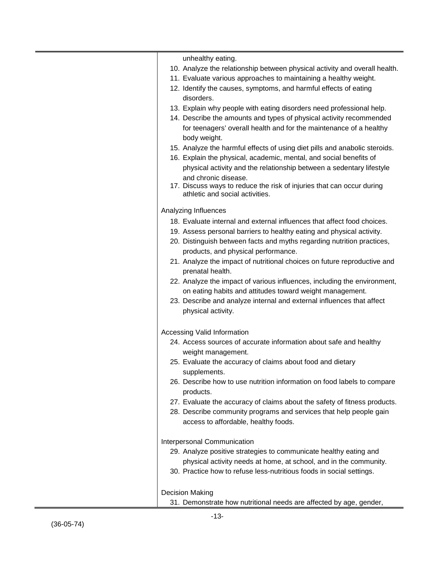| unhealthy eating.<br>10. Analyze the relationship between physical activity and overall health.<br>11. Evaluate various approaches to maintaining a healthy weight.<br>12. Identify the causes, symptoms, and harmful effects of eating<br>disorders.<br>13. Explain why people with eating disorders need professional help.<br>14. Describe the amounts and types of physical activity recommended<br>for teenagers' overall health and for the maintenance of a healthy<br>body weight.<br>15. Analyze the harmful effects of using diet pills and anabolic steroids.<br>16. Explain the physical, academic, mental, and social benefits of<br>physical activity and the relationship between a sedentary lifestyle<br>and chronic disease.<br>17. Discuss ways to reduce the risk of injuries that can occur during<br>athletic and social activities.<br>Analyzing Influences<br>18. Evaluate internal and external influences that affect food choices.<br>19. Assess personal barriers to healthy eating and physical activity.<br>20. Distinguish between facts and myths regarding nutrition practices,<br>products, and physical performance.<br>21. Analyze the impact of nutritional choices on future reproductive and<br>prenatal health.<br>22. Analyze the impact of various influences, including the environment,<br>on eating habits and attitudes toward weight management.<br>23. Describe and analyze internal and external influences that affect<br>physical activity.<br>Accessing Valid Information<br>24. Access sources of accurate information about safe and healthy<br>weight management.<br>25. Evaluate the accuracy of claims about food and dietary |
|----------------------------------------------------------------------------------------------------------------------------------------------------------------------------------------------------------------------------------------------------------------------------------------------------------------------------------------------------------------------------------------------------------------------------------------------------------------------------------------------------------------------------------------------------------------------------------------------------------------------------------------------------------------------------------------------------------------------------------------------------------------------------------------------------------------------------------------------------------------------------------------------------------------------------------------------------------------------------------------------------------------------------------------------------------------------------------------------------------------------------------------------------------------------------------------------------------------------------------------------------------------------------------------------------------------------------------------------------------------------------------------------------------------------------------------------------------------------------------------------------------------------------------------------------------------------------------------------------------------------------------------------------------------------------------------|
|                                                                                                                                                                                                                                                                                                                                                                                                                                                                                                                                                                                                                                                                                                                                                                                                                                                                                                                                                                                                                                                                                                                                                                                                                                                                                                                                                                                                                                                                                                                                                                                                                                                                                        |
|                                                                                                                                                                                                                                                                                                                                                                                                                                                                                                                                                                                                                                                                                                                                                                                                                                                                                                                                                                                                                                                                                                                                                                                                                                                                                                                                                                                                                                                                                                                                                                                                                                                                                        |
|                                                                                                                                                                                                                                                                                                                                                                                                                                                                                                                                                                                                                                                                                                                                                                                                                                                                                                                                                                                                                                                                                                                                                                                                                                                                                                                                                                                                                                                                                                                                                                                                                                                                                        |
|                                                                                                                                                                                                                                                                                                                                                                                                                                                                                                                                                                                                                                                                                                                                                                                                                                                                                                                                                                                                                                                                                                                                                                                                                                                                                                                                                                                                                                                                                                                                                                                                                                                                                        |
|                                                                                                                                                                                                                                                                                                                                                                                                                                                                                                                                                                                                                                                                                                                                                                                                                                                                                                                                                                                                                                                                                                                                                                                                                                                                                                                                                                                                                                                                                                                                                                                                                                                                                        |
|                                                                                                                                                                                                                                                                                                                                                                                                                                                                                                                                                                                                                                                                                                                                                                                                                                                                                                                                                                                                                                                                                                                                                                                                                                                                                                                                                                                                                                                                                                                                                                                                                                                                                        |
|                                                                                                                                                                                                                                                                                                                                                                                                                                                                                                                                                                                                                                                                                                                                                                                                                                                                                                                                                                                                                                                                                                                                                                                                                                                                                                                                                                                                                                                                                                                                                                                                                                                                                        |
|                                                                                                                                                                                                                                                                                                                                                                                                                                                                                                                                                                                                                                                                                                                                                                                                                                                                                                                                                                                                                                                                                                                                                                                                                                                                                                                                                                                                                                                                                                                                                                                                                                                                                        |
|                                                                                                                                                                                                                                                                                                                                                                                                                                                                                                                                                                                                                                                                                                                                                                                                                                                                                                                                                                                                                                                                                                                                                                                                                                                                                                                                                                                                                                                                                                                                                                                                                                                                                        |
|                                                                                                                                                                                                                                                                                                                                                                                                                                                                                                                                                                                                                                                                                                                                                                                                                                                                                                                                                                                                                                                                                                                                                                                                                                                                                                                                                                                                                                                                                                                                                                                                                                                                                        |
|                                                                                                                                                                                                                                                                                                                                                                                                                                                                                                                                                                                                                                                                                                                                                                                                                                                                                                                                                                                                                                                                                                                                                                                                                                                                                                                                                                                                                                                                                                                                                                                                                                                                                        |
|                                                                                                                                                                                                                                                                                                                                                                                                                                                                                                                                                                                                                                                                                                                                                                                                                                                                                                                                                                                                                                                                                                                                                                                                                                                                                                                                                                                                                                                                                                                                                                                                                                                                                        |
|                                                                                                                                                                                                                                                                                                                                                                                                                                                                                                                                                                                                                                                                                                                                                                                                                                                                                                                                                                                                                                                                                                                                                                                                                                                                                                                                                                                                                                                                                                                                                                                                                                                                                        |
|                                                                                                                                                                                                                                                                                                                                                                                                                                                                                                                                                                                                                                                                                                                                                                                                                                                                                                                                                                                                                                                                                                                                                                                                                                                                                                                                                                                                                                                                                                                                                                                                                                                                                        |
|                                                                                                                                                                                                                                                                                                                                                                                                                                                                                                                                                                                                                                                                                                                                                                                                                                                                                                                                                                                                                                                                                                                                                                                                                                                                                                                                                                                                                                                                                                                                                                                                                                                                                        |
|                                                                                                                                                                                                                                                                                                                                                                                                                                                                                                                                                                                                                                                                                                                                                                                                                                                                                                                                                                                                                                                                                                                                                                                                                                                                                                                                                                                                                                                                                                                                                                                                                                                                                        |
|                                                                                                                                                                                                                                                                                                                                                                                                                                                                                                                                                                                                                                                                                                                                                                                                                                                                                                                                                                                                                                                                                                                                                                                                                                                                                                                                                                                                                                                                                                                                                                                                                                                                                        |
|                                                                                                                                                                                                                                                                                                                                                                                                                                                                                                                                                                                                                                                                                                                                                                                                                                                                                                                                                                                                                                                                                                                                                                                                                                                                                                                                                                                                                                                                                                                                                                                                                                                                                        |
|                                                                                                                                                                                                                                                                                                                                                                                                                                                                                                                                                                                                                                                                                                                                                                                                                                                                                                                                                                                                                                                                                                                                                                                                                                                                                                                                                                                                                                                                                                                                                                                                                                                                                        |
|                                                                                                                                                                                                                                                                                                                                                                                                                                                                                                                                                                                                                                                                                                                                                                                                                                                                                                                                                                                                                                                                                                                                                                                                                                                                                                                                                                                                                                                                                                                                                                                                                                                                                        |
|                                                                                                                                                                                                                                                                                                                                                                                                                                                                                                                                                                                                                                                                                                                                                                                                                                                                                                                                                                                                                                                                                                                                                                                                                                                                                                                                                                                                                                                                                                                                                                                                                                                                                        |
|                                                                                                                                                                                                                                                                                                                                                                                                                                                                                                                                                                                                                                                                                                                                                                                                                                                                                                                                                                                                                                                                                                                                                                                                                                                                                                                                                                                                                                                                                                                                                                                                                                                                                        |
|                                                                                                                                                                                                                                                                                                                                                                                                                                                                                                                                                                                                                                                                                                                                                                                                                                                                                                                                                                                                                                                                                                                                                                                                                                                                                                                                                                                                                                                                                                                                                                                                                                                                                        |
|                                                                                                                                                                                                                                                                                                                                                                                                                                                                                                                                                                                                                                                                                                                                                                                                                                                                                                                                                                                                                                                                                                                                                                                                                                                                                                                                                                                                                                                                                                                                                                                                                                                                                        |
|                                                                                                                                                                                                                                                                                                                                                                                                                                                                                                                                                                                                                                                                                                                                                                                                                                                                                                                                                                                                                                                                                                                                                                                                                                                                                                                                                                                                                                                                                                                                                                                                                                                                                        |
|                                                                                                                                                                                                                                                                                                                                                                                                                                                                                                                                                                                                                                                                                                                                                                                                                                                                                                                                                                                                                                                                                                                                                                                                                                                                                                                                                                                                                                                                                                                                                                                                                                                                                        |
|                                                                                                                                                                                                                                                                                                                                                                                                                                                                                                                                                                                                                                                                                                                                                                                                                                                                                                                                                                                                                                                                                                                                                                                                                                                                                                                                                                                                                                                                                                                                                                                                                                                                                        |
|                                                                                                                                                                                                                                                                                                                                                                                                                                                                                                                                                                                                                                                                                                                                                                                                                                                                                                                                                                                                                                                                                                                                                                                                                                                                                                                                                                                                                                                                                                                                                                                                                                                                                        |
|                                                                                                                                                                                                                                                                                                                                                                                                                                                                                                                                                                                                                                                                                                                                                                                                                                                                                                                                                                                                                                                                                                                                                                                                                                                                                                                                                                                                                                                                                                                                                                                                                                                                                        |
|                                                                                                                                                                                                                                                                                                                                                                                                                                                                                                                                                                                                                                                                                                                                                                                                                                                                                                                                                                                                                                                                                                                                                                                                                                                                                                                                                                                                                                                                                                                                                                                                                                                                                        |
| supplements.                                                                                                                                                                                                                                                                                                                                                                                                                                                                                                                                                                                                                                                                                                                                                                                                                                                                                                                                                                                                                                                                                                                                                                                                                                                                                                                                                                                                                                                                                                                                                                                                                                                                           |
| 26. Describe how to use nutrition information on food labels to compare                                                                                                                                                                                                                                                                                                                                                                                                                                                                                                                                                                                                                                                                                                                                                                                                                                                                                                                                                                                                                                                                                                                                                                                                                                                                                                                                                                                                                                                                                                                                                                                                                |
| products.                                                                                                                                                                                                                                                                                                                                                                                                                                                                                                                                                                                                                                                                                                                                                                                                                                                                                                                                                                                                                                                                                                                                                                                                                                                                                                                                                                                                                                                                                                                                                                                                                                                                              |
| 27. Evaluate the accuracy of claims about the safety of fitness products.                                                                                                                                                                                                                                                                                                                                                                                                                                                                                                                                                                                                                                                                                                                                                                                                                                                                                                                                                                                                                                                                                                                                                                                                                                                                                                                                                                                                                                                                                                                                                                                                              |
| 28. Describe community programs and services that help people gain                                                                                                                                                                                                                                                                                                                                                                                                                                                                                                                                                                                                                                                                                                                                                                                                                                                                                                                                                                                                                                                                                                                                                                                                                                                                                                                                                                                                                                                                                                                                                                                                                     |
| access to affordable, healthy foods.                                                                                                                                                                                                                                                                                                                                                                                                                                                                                                                                                                                                                                                                                                                                                                                                                                                                                                                                                                                                                                                                                                                                                                                                                                                                                                                                                                                                                                                                                                                                                                                                                                                   |
|                                                                                                                                                                                                                                                                                                                                                                                                                                                                                                                                                                                                                                                                                                                                                                                                                                                                                                                                                                                                                                                                                                                                                                                                                                                                                                                                                                                                                                                                                                                                                                                                                                                                                        |
| Interpersonal Communication                                                                                                                                                                                                                                                                                                                                                                                                                                                                                                                                                                                                                                                                                                                                                                                                                                                                                                                                                                                                                                                                                                                                                                                                                                                                                                                                                                                                                                                                                                                                                                                                                                                            |
| 29. Analyze positive strategies to communicate healthy eating and                                                                                                                                                                                                                                                                                                                                                                                                                                                                                                                                                                                                                                                                                                                                                                                                                                                                                                                                                                                                                                                                                                                                                                                                                                                                                                                                                                                                                                                                                                                                                                                                                      |
| physical activity needs at home, at school, and in the community.                                                                                                                                                                                                                                                                                                                                                                                                                                                                                                                                                                                                                                                                                                                                                                                                                                                                                                                                                                                                                                                                                                                                                                                                                                                                                                                                                                                                                                                                                                                                                                                                                      |
| 30. Practice how to refuse less-nutritious foods in social settings.                                                                                                                                                                                                                                                                                                                                                                                                                                                                                                                                                                                                                                                                                                                                                                                                                                                                                                                                                                                                                                                                                                                                                                                                                                                                                                                                                                                                                                                                                                                                                                                                                   |
|                                                                                                                                                                                                                                                                                                                                                                                                                                                                                                                                                                                                                                                                                                                                                                                                                                                                                                                                                                                                                                                                                                                                                                                                                                                                                                                                                                                                                                                                                                                                                                                                                                                                                        |
| <b>Decision Making</b>                                                                                                                                                                                                                                                                                                                                                                                                                                                                                                                                                                                                                                                                                                                                                                                                                                                                                                                                                                                                                                                                                                                                                                                                                                                                                                                                                                                                                                                                                                                                                                                                                                                                 |
| 31. Demonstrate how nutritional needs are affected by age, gender,                                                                                                                                                                                                                                                                                                                                                                                                                                                                                                                                                                                                                                                                                                                                                                                                                                                                                                                                                                                                                                                                                                                                                                                                                                                                                                                                                                                                                                                                                                                                                                                                                     |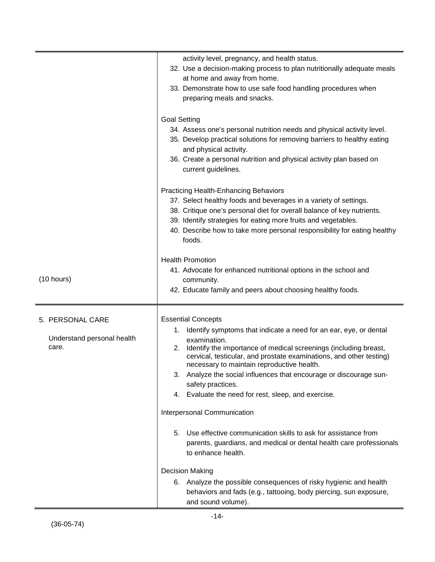|                                                         | activity level, pregnancy, and health status.<br>32. Use a decision-making process to plan nutritionally adequate meals<br>at home and away from home.<br>33. Demonstrate how to use safe food handling procedures when<br>preparing meals and snacks.                                                                                                                                                                                                                                                                                                                                                                                                                                                                                                                                                                                                          |
|---------------------------------------------------------|-----------------------------------------------------------------------------------------------------------------------------------------------------------------------------------------------------------------------------------------------------------------------------------------------------------------------------------------------------------------------------------------------------------------------------------------------------------------------------------------------------------------------------------------------------------------------------------------------------------------------------------------------------------------------------------------------------------------------------------------------------------------------------------------------------------------------------------------------------------------|
|                                                         | <b>Goal Setting</b><br>34. Assess one's personal nutrition needs and physical activity level.<br>35. Develop practical solutions for removing barriers to healthy eating<br>and physical activity.<br>36. Create a personal nutrition and physical activity plan based on<br>current guidelines.                                                                                                                                                                                                                                                                                                                                                                                                                                                                                                                                                                |
|                                                         | <b>Practicing Health-Enhancing Behaviors</b><br>37. Select healthy foods and beverages in a variety of settings.<br>38. Critique one's personal diet for overall balance of key nutrients.<br>39. Identify strategies for eating more fruits and vegetables.<br>40. Describe how to take more personal responsibility for eating healthy<br>foods.                                                                                                                                                                                                                                                                                                                                                                                                                                                                                                              |
| (10 hours)                                              | <b>Health Promotion</b><br>41. Advocate for enhanced nutritional options in the school and<br>community.<br>42. Educate family and peers about choosing healthy foods.                                                                                                                                                                                                                                                                                                                                                                                                                                                                                                                                                                                                                                                                                          |
| 5. PERSONAL CARE<br>Understand personal health<br>care. | <b>Essential Concepts</b><br>1. Identify symptoms that indicate a need for an ear, eye, or dental<br>examination.<br>Identify the importance of medical screenings (including breast,<br>2.<br>cervical, testicular, and prostate examinations, and other testing)<br>necessary to maintain reproductive health.<br>Analyze the social influences that encourage or discourage sun-<br>3.<br>safety practices.<br>4. Evaluate the need for rest, sleep, and exercise.<br>Interpersonal Communication<br>5. Use effective communication skills to ask for assistance from<br>parents, guardians, and medical or dental health care professionals<br>to enhance health.<br><b>Decision Making</b><br>6. Analyze the possible consequences of risky hygienic and health<br>behaviors and fads (e.g., tattooing, body piercing, sun exposure,<br>and sound volume). |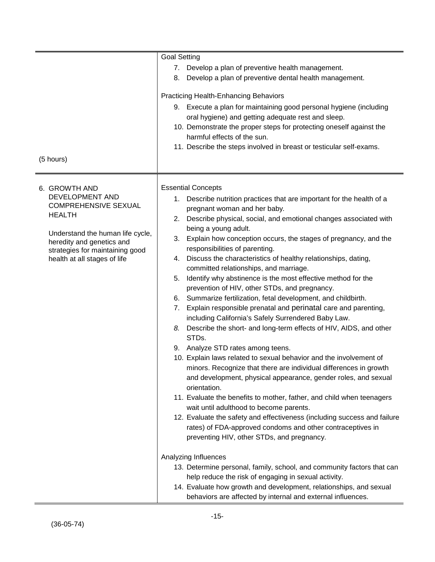| (5 hours)                                                                                                                                                                                                            | <b>Goal Setting</b><br>7. Develop a plan of preventive health management.<br>8. Develop a plan of preventive dental health management.<br><b>Practicing Health-Enhancing Behaviors</b><br>9. Execute a plan for maintaining good personal hygiene (including<br>oral hygiene) and getting adequate rest and sleep.<br>10. Demonstrate the proper steps for protecting oneself against the<br>harmful effects of the sun.<br>11. Describe the steps involved in breast or testicular self-exams.                                                                                                                                                                                                                                                                                                                                                                                                                                                                                                                                                                                                                                                                                                                                                                                                                                                                                                                                                                                                                                                                                                                                                                                                                                             |
|----------------------------------------------------------------------------------------------------------------------------------------------------------------------------------------------------------------------|---------------------------------------------------------------------------------------------------------------------------------------------------------------------------------------------------------------------------------------------------------------------------------------------------------------------------------------------------------------------------------------------------------------------------------------------------------------------------------------------------------------------------------------------------------------------------------------------------------------------------------------------------------------------------------------------------------------------------------------------------------------------------------------------------------------------------------------------------------------------------------------------------------------------------------------------------------------------------------------------------------------------------------------------------------------------------------------------------------------------------------------------------------------------------------------------------------------------------------------------------------------------------------------------------------------------------------------------------------------------------------------------------------------------------------------------------------------------------------------------------------------------------------------------------------------------------------------------------------------------------------------------------------------------------------------------------------------------------------------------|
| 6. GROWTH AND<br>DEVELOPMENT AND<br><b>COMPREHENSIVE SEXUAL</b><br><b>HEALTH</b><br>Understand the human life cycle,<br>heredity and genetics and<br>strategies for maintaining good<br>health at all stages of life | <b>Essential Concepts</b><br>1. Describe nutrition practices that are important for the health of a<br>pregnant woman and her baby.<br>2. Describe physical, social, and emotional changes associated with<br>being a young adult.<br>3. Explain how conception occurs, the stages of pregnancy, and the<br>responsibilities of parenting.<br>4. Discuss the characteristics of healthy relationships, dating,<br>committed relationships, and marriage.<br>Identify why abstinence is the most effective method for the<br>5.<br>prevention of HIV, other STDs, and pregnancy.<br>6. Summarize fertilization, fetal development, and childbirth.<br>7. Explain responsible prenatal and perinatal care and parenting,<br>including California's Safely Surrendered Baby Law.<br>8. Describe the short- and long-term effects of HIV, AIDS, and other<br>STDs.<br>9. Analyze STD rates among teens.<br>10. Explain laws related to sexual behavior and the involvement of<br>minors. Recognize that there are individual differences in growth<br>and development, physical appearance, gender roles, and sexual<br>orientation.<br>11. Evaluate the benefits to mother, father, and child when teenagers<br>wait until adulthood to become parents.<br>12. Evaluate the safety and effectiveness (including success and failure<br>rates) of FDA-approved condoms and other contraceptives in<br>preventing HIV, other STDs, and pregnancy.<br>Analyzing Influences<br>13. Determine personal, family, school, and community factors that can<br>help reduce the risk of engaging in sexual activity.<br>14. Evaluate how growth and development, relationships, and sexual<br>behaviors are affected by internal and external influences. |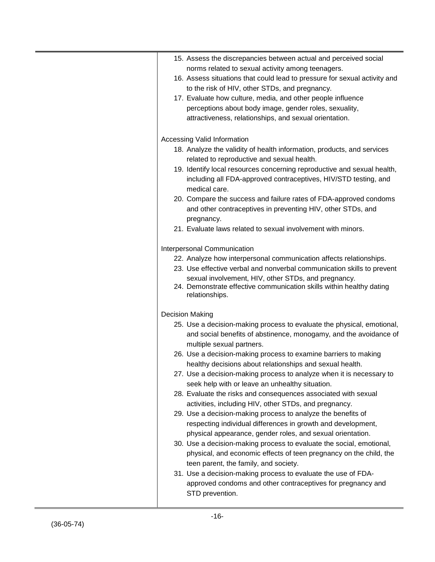| 15. Assess the discrepancies between actual and perceived social<br>norms related to sexual activity among teenagers.                         |
|-----------------------------------------------------------------------------------------------------------------------------------------------|
| 16. Assess situations that could lead to pressure for sexual activity and                                                                     |
| to the risk of HIV, other STDs, and pregnancy.                                                                                                |
| 17. Evaluate how culture, media, and other people influence                                                                                   |
| perceptions about body image, gender roles, sexuality,                                                                                        |
| attractiveness, relationships, and sexual orientation.                                                                                        |
| Accessing Valid Information                                                                                                                   |
| 18. Analyze the validity of health information, products, and services                                                                        |
| related to reproductive and sexual health.                                                                                                    |
| 19. Identify local resources concerning reproductive and sexual health,                                                                       |
| including all FDA-approved contraceptives, HIV/STD testing, and                                                                               |
| medical care.                                                                                                                                 |
| 20. Compare the success and failure rates of FDA-approved condoms                                                                             |
| and other contraceptives in preventing HIV, other STDs, and                                                                                   |
| pregnancy.                                                                                                                                    |
| 21. Evaluate laws related to sexual involvement with minors.                                                                                  |
| <b>Interpersonal Communication</b>                                                                                                            |
| 22. Analyze how interpersonal communication affects relationships.                                                                            |
| 23. Use effective verbal and nonverbal communication skills to prevent                                                                        |
| sexual involvement, HIV, other STDs, and pregnancy.<br>24. Demonstrate effective communication skills within healthy dating<br>relationships. |
| Decision Making                                                                                                                               |
| 25. Use a decision-making process to evaluate the physical, emotional,                                                                        |
| and social benefits of abstinence, monogamy, and the avoidance of                                                                             |
| multiple sexual partners.                                                                                                                     |
| 26. Use a decision-making process to examine barriers to making                                                                               |
| healthy decisions about relationships and sexual health.                                                                                      |
| 27. Use a decision-making process to analyze when it is necessary to                                                                          |
| seek help with or leave an unhealthy situation.                                                                                               |
| 28. Evaluate the risks and consequences associated with sexual                                                                                |
| activities, including HIV, other STDs, and pregnancy.                                                                                         |
| 29. Use a decision-making process to analyze the benefits of                                                                                  |
| respecting individual differences in growth and development,                                                                                  |
| physical appearance, gender roles, and sexual orientation.                                                                                    |
| 30. Use a decision-making process to evaluate the social, emotional,                                                                          |
| physical, and economic effects of teen pregnancy on the child, the                                                                            |
| teen parent, the family, and society.                                                                                                         |
| 31. Use a decision-making process to evaluate the use of FDA-                                                                                 |
| approved condoms and other contraceptives for pregnancy and                                                                                   |
| STD prevention.                                                                                                                               |
|                                                                                                                                               |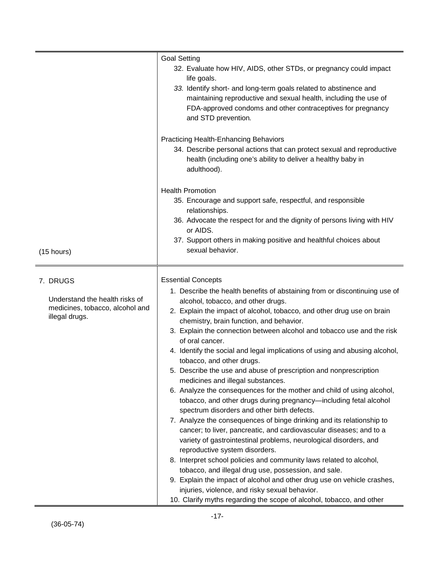|                                                                                                 | <b>Goal Setting</b><br>32. Evaluate how HIV, AIDS, other STDs, or pregnancy could impact<br>life goals.<br>33. Identify short- and long-term goals related to abstinence and<br>maintaining reproductive and sexual health, including the use of<br>FDA-approved condoms and other contraceptives for pregnancy<br>and STD prevention.                                                                                                                                                                                                                                                                                                                                                                                                                                                                                                                                                                                                                                                                                                                                                                                                                                                                                                                                                                                                                                          |
|-------------------------------------------------------------------------------------------------|---------------------------------------------------------------------------------------------------------------------------------------------------------------------------------------------------------------------------------------------------------------------------------------------------------------------------------------------------------------------------------------------------------------------------------------------------------------------------------------------------------------------------------------------------------------------------------------------------------------------------------------------------------------------------------------------------------------------------------------------------------------------------------------------------------------------------------------------------------------------------------------------------------------------------------------------------------------------------------------------------------------------------------------------------------------------------------------------------------------------------------------------------------------------------------------------------------------------------------------------------------------------------------------------------------------------------------------------------------------------------------|
|                                                                                                 | <b>Practicing Health-Enhancing Behaviors</b><br>34. Describe personal actions that can protect sexual and reproductive<br>health (including one's ability to deliver a healthy baby in<br>adulthood).                                                                                                                                                                                                                                                                                                                                                                                                                                                                                                                                                                                                                                                                                                                                                                                                                                                                                                                                                                                                                                                                                                                                                                           |
| (15 hours)                                                                                      | <b>Health Promotion</b><br>35. Encourage and support safe, respectful, and responsible<br>relationships.<br>36. Advocate the respect for and the dignity of persons living with HIV<br>or AIDS.<br>37. Support others in making positive and healthful choices about<br>sexual behavior.                                                                                                                                                                                                                                                                                                                                                                                                                                                                                                                                                                                                                                                                                                                                                                                                                                                                                                                                                                                                                                                                                        |
| 7. DRUGS<br>Understand the health risks of<br>medicines, tobacco, alcohol and<br>illegal drugs. | <b>Essential Concepts</b><br>1. Describe the health benefits of abstaining from or discontinuing use of<br>alcohol, tobacco, and other drugs.<br>2. Explain the impact of alcohol, tobacco, and other drug use on brain<br>chemistry, brain function, and behavior.<br>3. Explain the connection between alcohol and tobacco use and the risk<br>of oral cancer.<br>4. Identify the social and legal implications of using and abusing alcohol,<br>tobacco, and other drugs.<br>5. Describe the use and abuse of prescription and nonprescription<br>medicines and illegal substances.<br>6. Analyze the consequences for the mother and child of using alcohol,<br>tobacco, and other drugs during pregnancy-including fetal alcohol<br>spectrum disorders and other birth defects.<br>7. Analyze the consequences of binge drinking and its relationship to<br>cancer; to liver, pancreatic, and cardiovascular diseases; and to a<br>variety of gastrointestinal problems, neurological disorders, and<br>reproductive system disorders.<br>8. Interpret school policies and community laws related to alcohol,<br>tobacco, and illegal drug use, possession, and sale.<br>9. Explain the impact of alcohol and other drug use on vehicle crashes,<br>injuries, violence, and risky sexual behavior.<br>10. Clarify myths regarding the scope of alcohol, tobacco, and other |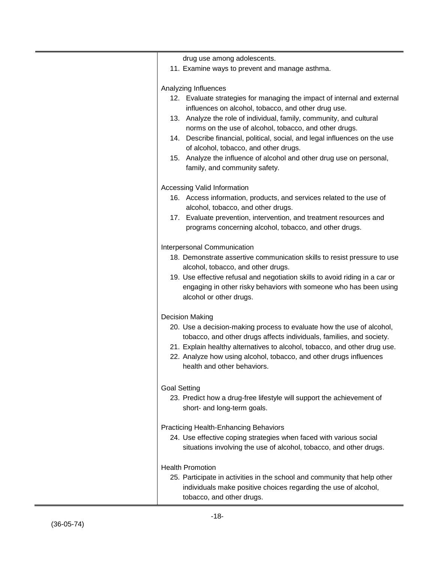| drug use among adolescents.<br>11. Examine ways to prevent and manage asthma.                                                                                                                                                                                                                                                   |
|---------------------------------------------------------------------------------------------------------------------------------------------------------------------------------------------------------------------------------------------------------------------------------------------------------------------------------|
|                                                                                                                                                                                                                                                                                                                                 |
| Analyzing Influences<br>12. Evaluate strategies for managing the impact of internal and external<br>influences on alcohol, tobacco, and other drug use.                                                                                                                                                                         |
| 13. Analyze the role of individual, family, community, and cultural<br>norms on the use of alcohol, tobacco, and other drugs.<br>14. Describe financial, political, social, and legal influences on the use<br>of alcohol, tobacco, and other drugs.<br>15. Analyze the influence of alcohol and other drug use on personal,    |
| family, and community safety.                                                                                                                                                                                                                                                                                                   |
| <b>Accessing Valid Information</b>                                                                                                                                                                                                                                                                                              |
| 16. Access information, products, and services related to the use of<br>alcohol, tobacco, and other drugs.                                                                                                                                                                                                                      |
| 17. Evaluate prevention, intervention, and treatment resources and<br>programs concerning alcohol, tobacco, and other drugs.                                                                                                                                                                                                    |
| Interpersonal Communication                                                                                                                                                                                                                                                                                                     |
| 18. Demonstrate assertive communication skills to resist pressure to use<br>alcohol, tobacco, and other drugs.                                                                                                                                                                                                                  |
| 19. Use effective refusal and negotiation skills to avoid riding in a car or<br>engaging in other risky behaviors with someone who has been using<br>alcohol or other drugs.                                                                                                                                                    |
| <b>Decision Making</b>                                                                                                                                                                                                                                                                                                          |
| 20. Use a decision-making process to evaluate how the use of alcohol,<br>tobacco, and other drugs affects individuals, families, and society.<br>21. Explain healthy alternatives to alcohol, tobacco, and other drug use.<br>22. Analyze how using alcohol, tobacco, and other drugs influences<br>health and other behaviors. |
| <b>Goal Setting</b><br>23. Predict how a drug-free lifestyle will support the achievement of<br>short- and long-term goals.                                                                                                                                                                                                     |
| <b>Practicing Health-Enhancing Behaviors</b><br>24. Use effective coping strategies when faced with various social<br>situations involving the use of alcohol, tobacco, and other drugs.                                                                                                                                        |
| <b>Health Promotion</b><br>25. Participate in activities in the school and community that help other<br>individuals make positive choices regarding the use of alcohol,<br>tobacco, and other drugs.                                                                                                                            |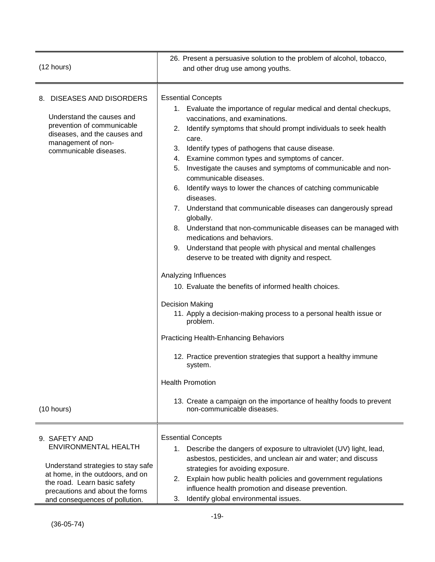| (12 hours)                                                                                                                                                                                                                  | 26. Present a persuasive solution to the problem of alcohol, tobacco,<br>and other drug use among youths.                                                                                                                                                                                                                                                                                                                                                                                                                                                                                                                                                                                                                                                                                                                                                                                                                                                                                                                                                                                                                                                                                                                                                                           |  |  |
|-----------------------------------------------------------------------------------------------------------------------------------------------------------------------------------------------------------------------------|-------------------------------------------------------------------------------------------------------------------------------------------------------------------------------------------------------------------------------------------------------------------------------------------------------------------------------------------------------------------------------------------------------------------------------------------------------------------------------------------------------------------------------------------------------------------------------------------------------------------------------------------------------------------------------------------------------------------------------------------------------------------------------------------------------------------------------------------------------------------------------------------------------------------------------------------------------------------------------------------------------------------------------------------------------------------------------------------------------------------------------------------------------------------------------------------------------------------------------------------------------------------------------------|--|--|
| 8. DISEASES AND DISORDERS<br>Understand the causes and<br>prevention of communicable<br>diseases, and the causes and<br>management of non-<br>communicable diseases.<br>(10 hours)                                          | <b>Essential Concepts</b><br>1. Evaluate the importance of regular medical and dental checkups,<br>vaccinations, and examinations.<br>Identify symptoms that should prompt individuals to seek health<br>2.<br>care.<br>3.<br>Identify types of pathogens that cause disease.<br>Examine common types and symptoms of cancer.<br>4.<br>Investigate the causes and symptoms of communicable and non-<br>5.<br>communicable diseases.<br>6. Identify ways to lower the chances of catching communicable<br>diseases.<br>7. Understand that communicable diseases can dangerously spread<br>globally.<br>8. Understand that non-communicable diseases can be managed with<br>medications and behaviors.<br>9. Understand that people with physical and mental challenges<br>deserve to be treated with dignity and respect.<br>Analyzing Influences<br>10. Evaluate the benefits of informed health choices.<br><b>Decision Making</b><br>11. Apply a decision-making process to a personal health issue or<br>problem.<br><b>Practicing Health-Enhancing Behaviors</b><br>12. Practice prevention strategies that support a healthy immune<br>system.<br><b>Health Promotion</b><br>13. Create a campaign on the importance of healthy foods to prevent<br>non-communicable diseases. |  |  |
| 9. SAFETY AND<br><b>ENVIRONMENTAL HEALTH</b><br>Understand strategies to stay safe<br>at home, in the outdoors, and on<br>the road. Learn basic safety<br>precautions and about the forms<br>and consequences of pollution. | <b>Essential Concepts</b><br>1. Describe the dangers of exposure to ultraviolet (UV) light, lead,<br>asbestos, pesticides, and unclean air and water; and discuss<br>strategies for avoiding exposure.<br>Explain how public health policies and government regulations<br>2.<br>influence health promotion and disease prevention.<br>Identify global environmental issues.<br>3.                                                                                                                                                                                                                                                                                                                                                                                                                                                                                                                                                                                                                                                                                                                                                                                                                                                                                                  |  |  |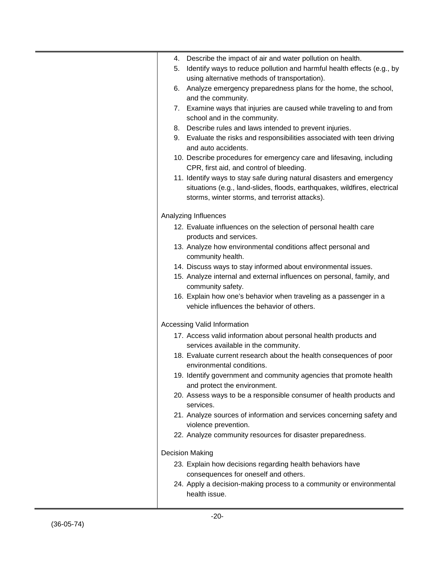| 4. | Describe the impact of air and water pollution on health.                                                        |
|----|------------------------------------------------------------------------------------------------------------------|
| 5. | Identify ways to reduce pollution and harmful health effects (e.g., by                                           |
|    | using alternative methods of transportation).                                                                    |
| 6. | Analyze emergency preparedness plans for the home, the school,                                                   |
|    | and the community.                                                                                               |
| 7. | Examine ways that injuries are caused while traveling to and from<br>school and in the community.                |
| 8. | Describe rules and laws intended to prevent injuries.                                                            |
| 9. | Evaluate the risks and responsibilities associated with teen driving<br>and auto accidents.                      |
|    | 10. Describe procedures for emergency care and lifesaving, including<br>CPR, first aid, and control of bleeding. |
|    | 11. Identify ways to stay safe during natural disasters and emergency                                            |
|    | situations (e.g., land-slides, floods, earthquakes, wildfires, electrical                                        |
|    | storms, winter storms, and terrorist attacks).                                                                   |
|    | Analyzing Influences                                                                                             |
|    | 12. Evaluate influences on the selection of personal health care                                                 |
|    | products and services.                                                                                           |
|    | 13. Analyze how environmental conditions affect personal and                                                     |
|    | community health.                                                                                                |
|    | 14. Discuss ways to stay informed about environmental issues.                                                    |
|    | 15. Analyze internal and external influences on personal, family, and                                            |
|    | community safety.                                                                                                |
|    | 16. Explain how one's behavior when traveling as a passenger in a                                                |
|    | vehicle influences the behavior of others.                                                                       |
|    | <b>Accessing Valid Information</b>                                                                               |
|    | 17. Access valid information about personal health products and                                                  |
|    | services available in the community.                                                                             |
|    | 18. Evaluate current research about the health consequences of poor<br>environmental conditions.                 |
|    | 19. Identify government and community agencies that promote health                                               |
|    | and protect the environment.                                                                                     |
|    | 20. Assess ways to be a responsible consumer of health products and                                              |
|    | services.                                                                                                        |
|    | 21. Analyze sources of information and services concerning safety and                                            |
|    | violence prevention.                                                                                             |
|    | 22. Analyze community resources for disaster preparedness.                                                       |
|    | <b>Decision Making</b>                                                                                           |
|    | 23. Explain how decisions regarding health behaviors have                                                        |
|    | consequences for oneself and others.                                                                             |
|    | 24. Apply a decision-making process to a community or environmental                                              |
|    | health issue.                                                                                                    |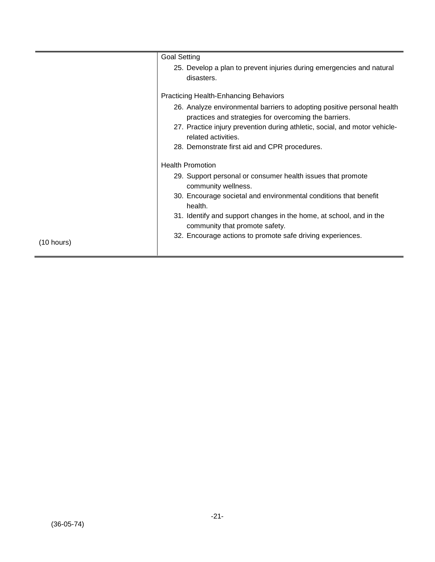|                      | <b>Goal Setting</b>                                                                                                              |
|----------------------|----------------------------------------------------------------------------------------------------------------------------------|
|                      | 25. Develop a plan to prevent injuries during emergencies and natural<br>disasters.                                              |
|                      | <b>Practicing Health-Enhancing Behaviors</b>                                                                                     |
|                      | 26. Analyze environmental barriers to adopting positive personal health<br>practices and strategies for overcoming the barriers. |
|                      | 27. Practice injury prevention during athletic, social, and motor vehicle-<br>related activities.                                |
|                      | 28. Demonstrate first aid and CPR procedures.                                                                                    |
|                      | <b>Health Promotion</b>                                                                                                          |
|                      | 29. Support personal or consumer health issues that promote<br>community wellness.                                               |
|                      | 30. Encourage societal and environmental conditions that benefit<br>health.                                                      |
|                      | 31. Identify and support changes in the home, at school, and in the<br>community that promote safety.                            |
| $(10 \text{ hours})$ | 32. Encourage actions to promote safe driving experiences.                                                                       |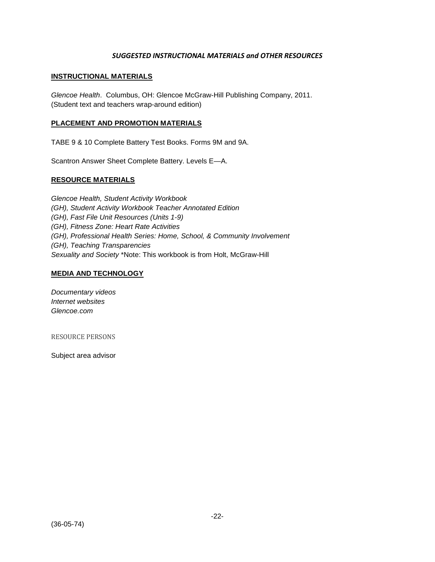#### *SUGGESTED INSTRUCTIONAL MATERIALS and OTHER RESOURCES*

#### **INSTRUCTIONAL MATERIALS**

*Glencoe Health*. Columbus, OH: Glencoe McGraw-Hill Publishing Company, 2011. (Student text and teachers wrap-around edition)

#### **PLACEMENT AND PROMOTION MATERIALS**

TABE 9 & 10 Complete Battery Test Books. Forms 9M and 9A.

Scantron Answer Sheet Complete Battery. Levels E—A.

#### **RESOURCE MATERIALS**

*Glencoe Health, Student Activity Workbook (GH), Student Activity Workbook Teacher Annotated Edition (GH), Fast File Unit Resources (Units 1-9) (GH), Fitness Zone: Heart Rate Activities (GH), Professional Health Series: Home, School, & Community Involvement (GH), Teaching Transparencies Sexuality and Society* \*Note: This workbook is from Holt, McGraw-Hill

#### **MEDIA AND TECHNOLOGY**

*Documentary videos Internet websites Glencoe.com*

RESOURCE PERSONS

Subject area advisor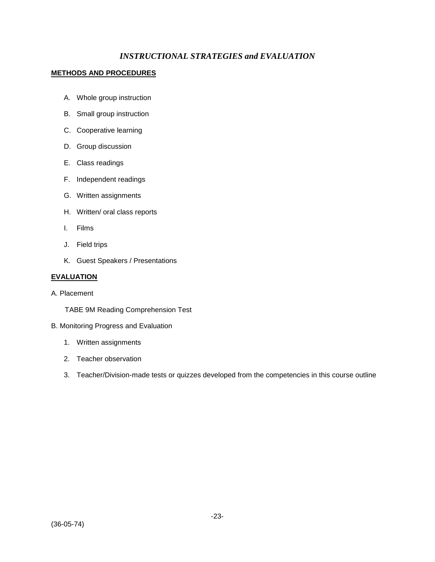## *INSTRUCTIONAL STRATEGIES and EVALUATION*

#### **METHODS AND PROCEDURES**

- A. Whole group instruction
- B. Small group instruction
- C. Cooperative learning
- D. Group discussion
- E. Class readings
- F. Independent readings
- G. Written assignments
- H. Written/ oral class reports
- I. Films
- J. Field trips
- K. Guest Speakers / Presentations

#### **EVALUATION**

A. Placement

TABE 9M Reading Comprehension Test

- B. Monitoring Progress and Evaluation
	- 1. Written assignments
	- 2. Teacher observation
	- 3. Teacher/Division-made tests or quizzes developed from the competencies in this course outline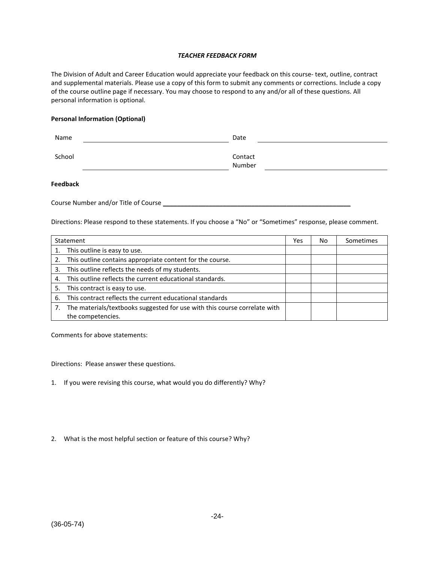#### *TEACHER FEEDBACK FORM*

The Division of Adult and Career Education would appreciate your feedback on this course- text, outline, contract and supplemental materials. Please use a copy of this form to submit any comments or corrections. Include a copy of the course outline page if necessary. You may choose to respond to any and/or all of these questions. All personal information is optional.

#### **Personal Information (Optional)**

| Name   | Date              |
|--------|-------------------|
| School | Contact<br>Number |

#### **Feedback**

Course Number and/or Title of Course

Directions: Please respond to these statements. If you choose a "No" or "Sometimes" response, please comment.

|    | Statement                                                                 | Yes | No | Sometimes |
|----|---------------------------------------------------------------------------|-----|----|-----------|
|    | This outline is easy to use.                                              |     |    |           |
| 2. | This outline contains appropriate content for the course.                 |     |    |           |
| 3. | This outline reflects the needs of my students.                           |     |    |           |
| 4. | This outline reflects the current educational standards.                  |     |    |           |
| 5. | This contract is easy to use.                                             |     |    |           |
| 6. | This contract reflects the current educational standards                  |     |    |           |
|    | The materials/textbooks suggested for use with this course correlate with |     |    |           |
|    | the competencies.                                                         |     |    |           |

Comments for above statements:

Directions: Please answer these questions.

- 1. If you were revising this course, what would you do differently? Why?
- 2. What is the most helpful section or feature of this course? Why?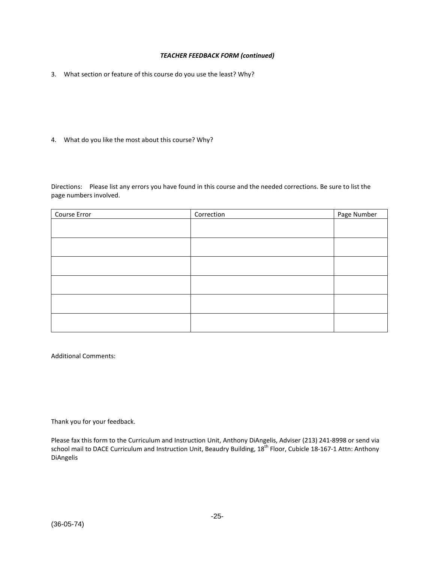#### *TEACHER FEEDBACK FORM (continued)*

3. What section or feature of this course do you use the least? Why?

4. What do you like the most about this course? Why?

Directions: Please list any errors you have found in this course and the needed corrections. Be sure to list the page numbers involved.

| Course Error | Correction | Page Number |
|--------------|------------|-------------|
|              |            |             |
|              |            |             |
|              |            |             |
|              |            |             |
|              |            |             |
|              |            |             |
|              |            |             |
|              |            |             |
|              |            |             |
|              |            |             |
|              |            |             |
|              |            |             |

Additional Comments:

Thank you for your feedback.

Please fax this form to the Curriculum and Instruction Unit, Anthony DiAngelis, Adviser (213) 241-8998 or send via school mail to DACE Curriculum and Instruction Unit, Beaudry Building, 18<sup>th</sup> Floor, Cubicle 18-167-1 Attn: Anthony DiAngelis